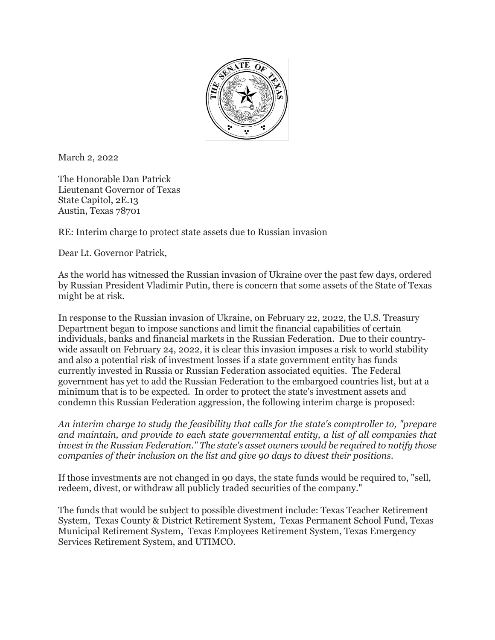

March 2, 2022

The Honorable Dan Patrick Lieutenant Governor of Texas State Capitol, 2E.13 Austin, Texas 78701

RE: Interim charge to protect state assets due to Russian invasion

Dear Lt. Governor Patrick,

As the world has witnessed the Russian invasion of Ukraine over the past few days, ordered by Russian President Vladimir Putin, there is concern that some assets of the State of Texas might be at risk.

In response to the Russian invasion of Ukraine, on February 22, 2022, the U.S. Treasury Department began to impose sanctions and limit the financial capabilities of certain individuals, banks and financial markets in the Russian Federation. Due to their countrywide assault on February 24, 2022, it is clear this invasion imposes a risk to world stability and also a potential risk of investment losses if a state government entity has funds currently invested in Russia or Russian Federation associated equities. The Federal government has yet to add the Russian Federation to the embargoed countries list, but at a minimum that is to be expected. In order to protect the state's investment assets and condemn this Russian Federation aggression, the following interim charge is proposed:

*An interim charge to study the feasibility that calls for the state's comptroller to, "prepare and maintain, and provide to each state governmental entity, a list of all companies that invest in the Russian Federation." The state's asset owners would be required to notify those companies of their inclusion on the list and give 90 days to divest their positions.*

If those investments are not changed in 90 days, the state funds would be required to, "sell, redeem, divest, or withdraw all publicly traded securities of the company."

The funds that would be subject to possible divestment include: Texas Teacher Retirement System, Texas County & District Retirement System, Texas Permanent School Fund, Texas Municipal Retirement System, Texas Employees Retirement System, Texas Emergency Services Retirement System, and UTIMCO.